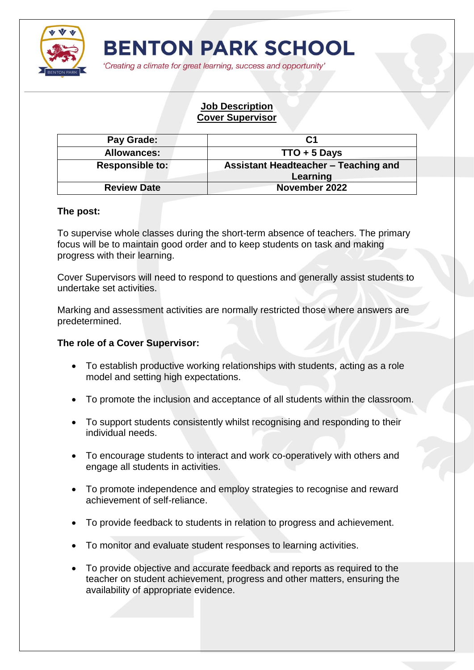

'Creating a climate for great learning, success and opportunity'

## **Job Description Cover Supervisor**

| Pay Grade:         | C <sub>1</sub>                                   |
|--------------------|--------------------------------------------------|
| <b>Allowances:</b> | $TTO + 5$ Days                                   |
| Responsible to:    | Assistant Headteacher - Teaching and<br>Learning |
| <b>Review Date</b> | November 2022                                    |

## **The post:**

To supervise whole classes during the short-term absence of teachers. The primary focus will be to maintain good order and to keep students on task and making progress with their learning.

Cover Supervisors will need to respond to questions and generally assist students to undertake set activities.

Marking and assessment activities are normally restricted those where answers are predetermined.

## **The role of a Cover Supervisor:**

- To establish productive working relationships with students, acting as a role model and setting high expectations.
- To promote the inclusion and acceptance of all students within the classroom.
- To support students consistently whilst recognising and responding to their individual needs.
- To encourage students to interact and work co-operatively with others and engage all students in activities.
- To promote independence and employ strategies to recognise and reward achievement of self-reliance.
- To provide feedback to students in relation to progress and achievement.
- To monitor and evaluate student responses to learning activities.
- To provide objective and accurate feedback and reports as required to the teacher on student achievement, progress and other matters, ensuring the availability of appropriate evidence.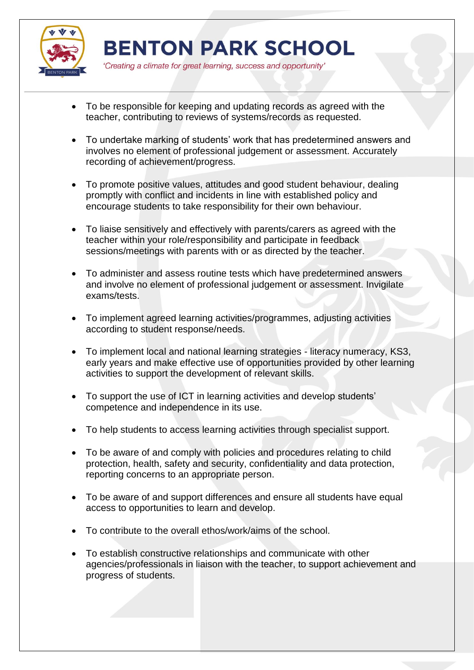

'Creating a climate for great learning, success and opportunity'

- To be responsible for keeping and updating records as agreed with the teacher, contributing to reviews of systems/records as requested.
- To undertake marking of students' work that has predetermined answers and involves no element of professional judgement or assessment. Accurately recording of achievement/progress.
- To promote positive values, attitudes and good student behaviour, dealing promptly with conflict and incidents in line with established policy and encourage students to take responsibility for their own behaviour.
- To liaise sensitively and effectively with parents/carers as agreed with the teacher within your role/responsibility and participate in feedback sessions/meetings with parents with or as directed by the teacher.
- To administer and assess routine tests which have predetermined answers and involve no element of professional judgement or assessment. Invigilate exams/tests.
- To implement agreed learning activities/programmes, adjusting activities according to student response/needs.
- To implement local and national learning strategies literacy numeracy, KS3, early years and make effective use of opportunities provided by other learning activities to support the development of relevant skills.
- To support the use of ICT in learning activities and develop students' competence and independence in its use.
- To help students to access learning activities through specialist support.
- To be aware of and comply with policies and procedures relating to child protection, health, safety and security, confidentiality and data protection, reporting concerns to an appropriate person.
- To be aware of and support differences and ensure all students have equal access to opportunities to learn and develop.
- To contribute to the overall ethos/work/aims of the school.
- To establish constructive relationships and communicate with other agencies/professionals in liaison with the teacher, to support achievement and progress of students.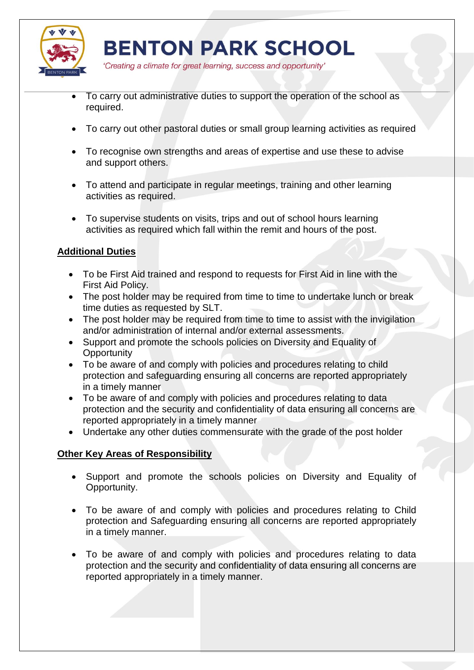

'Creating a climate for great learning, success and opportunity'

- To carry out administrative duties to support the operation of the school as required.
- To carry out other pastoral duties or small group learning activities as required
- To recognise own strengths and areas of expertise and use these to advise and support others.
- To attend and participate in regular meetings, training and other learning activities as required.
- To supervise students on visits, trips and out of school hours learning activities as required which fall within the remit and hours of the post.

## **Additional Duties**

- To be First Aid trained and respond to requests for First Aid in line with the First Aid Policy.
- The post holder may be required from time to time to undertake lunch or break time duties as requested by SLT.
- The post holder may be required from time to time to assist with the invigilation and/or administration of internal and/or external assessments.
- Support and promote the schools policies on Diversity and Equality of **Opportunity**
- To be aware of and comply with policies and procedures relating to child protection and safeguarding ensuring all concerns are reported appropriately in a timely manner
- To be aware of and comply with policies and procedures relating to data protection and the security and confidentiality of data ensuring all concerns are reported appropriately in a timely manner
- Undertake any other duties commensurate with the grade of the post holder

## **Other Key Areas of Responsibility**

- Support and promote the schools policies on Diversity and Equality of Opportunity.
- To be aware of and comply with policies and procedures relating to Child protection and Safeguarding ensuring all concerns are reported appropriately in a timely manner.
- To be aware of and comply with policies and procedures relating to data protection and the security and confidentiality of data ensuring all concerns are reported appropriately in a timely manner.